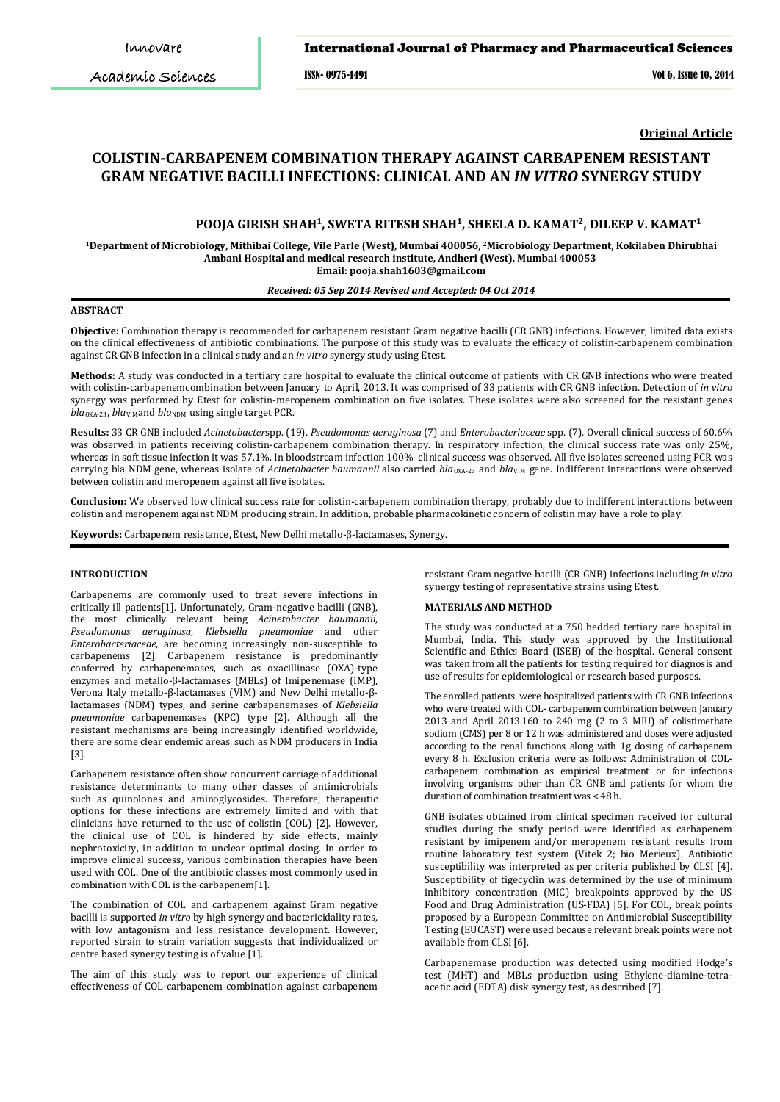Academic Sciences

#### International Journal of Pharmacy and Pharmaceutical Sciences

ISSN- 0975-1491 Vol 6, Issue 10, 2014

**Original Article**

# **COLISTIN-CARBAPENEM COMBINATION THERAPY AGAINST CARBAPENEM RESISTANT GRAM NEGATIVE BACILLI INFECTIONS: CLINICAL AND AN** *IN VITRO* **SYNERGY STUDY**

## **POOJA GIRISH SHAH<sup>1</sup> , SWETA RITESH SHAH<sup>1</sup> , SHEELA D. KAMAT<sup>2</sup> , DILEEP V. KAMAT<sup>1</sup>**

**<sup>1</sup>Department of Microbiology, Mithibai College, Vile Parle (West), Mumbai 400056, <sup>2</sup>Microbiology Department, Kokilaben Dhirubhai Ambani Hospital and medical research institute, Andheri (West), Mumbai 400053 Email: pooja.shah1603@gmail.com**

#### *Received: 05 Sep 2014 Revised and Accepted: 04 Oct 2014*

## **ABSTRACT**

**Objective:** Combination therapy is recommended for carbapenem resistant Gram negative bacilli (CR GNB) infections. However, limited data exists on the clinical effectiveness of antibiotic combinations. The purpose of this study was to evaluate the efficacy of colistin-carbapenem combination against CR GNB infection in a clinical study and an *in vitro* synergy study using Etest.

**Methods:** A study was conducted in a tertiary care hospital to evaluate the clinical outcome of patients with CR GNB infections who were treated with colistin-carbapenemcombination between January to April, 2013. It was comprised of 33 patients with CR GNB infection. Detection of *in vitro* synergy was performed by Etest for colistin-meropenem combination on five isolates. These isolates were also screened for the resistant genes *bla*OXA-23, *bla*VIMand *bla*NDM using single target PCR.

**Results:** 33 CR GNB included *Acinetobacter*spp. (19), *Pseudomonas aeruginosa* (7) and *Enterobacteriaceae* spp. (7). Overall clinical success of 60.6% was observed in patients receiving colistin-carbapenem combination therapy. In respiratory infection, the clinical success rate was only 25%, whereas in soft tissue infection it was 57.1%. In bloodstream infection 100% clinical success was observed. All five isolates screened using PCR was carrying bla NDM gene, whereas isolate of *Acinetobacter baumannii* also carried bla<sub>0xA-23</sub> and bla<sub>VIM</sub> gene. Indifferent interactions were observed between colistin and meropenem against all five isolates.

**Conclusion:** We observed low clinical success rate for colistin-carbapenem combination therapy, probably due to indifferent interactions between colistin and meropenem against NDM producing strain. In addition, probable pharmacokinetic concern of colistin may have a role to play.

**Keywords:** Carbapenem resistance, Etest, New Delhi metallo-β-lactamases, Synergy.

## **INTRODUCTION**

Carbapenems are commonly used to treat severe infections in critically ill patients[1]. Unfortunately, Gram-negative bacilli (GNB), the most clinically relevant being *Acinetobacter baumannii*, *Pseudomonas aeruginosa*, *Klebsiella pneumoniae* and other *Enterobacteriaceae*, are becoming increasingly non-susceptible to carbapenems [2]. Carbapenem resistance is predominantly conferred by carbapenemases, such as oxacillinase (OXA)-type enzymes and metallo-β-lactamases (MBLs) of Imipenemase (IMP), Verona Italy metallo-β-lactamases (VIM) and New Delhi metallo-βlactamases (NDM) types, and serine carbapenemases of *Klebsiella pneumoniae* carbapenemases (KPC) type [2]. Although all the resistant mechanisms are being increasingly identified worldwide, there are some clear endemic areas, such as NDM producers in India [3].

Carbapenem resistance often show concurrent carriage of additional resistance determinants to many other classes of antimicrobials such as quinolones and aminoglycosides. Therefore, therapeutic options for these infections are extremely limited and with that clinicians have returned to the use of colistin (COL) [2]. However, the clinical use of COL is hindered by side effects, mainly nephrotoxicity, in addition to unclear optimal dosing. In order to improve clinical success, various combination therapies have been used with COL. One of the antibiotic classes most commonly used in combination with COL is the carbapenem[1].

The combination of COL and carbapenem against Gram negative bacilli is supported *in vitro* by high synergy and bactericidality rates, with low antagonism and less resistance development. However, reported strain to strain variation suggests that individualized or centre based synergy testing is of value [1].

The aim of this study was to report our experience of clinical effectiveness of COL-carbapenem combination against carbapenem resistant Gram negative bacilli (CR GNB) infections including *in vitro* synergy testing of representative strains using Etest.

## **MATERIALS AND METHOD**

The study was conducted at a 750 bedded tertiary care hospital in Mumbai, India. This study was approved by the Institutional Scientific and Ethics Board (ISEB) of the hospital. General consent was taken from all the patients for testing required for diagnosis and use of results for epidemiological or research based purposes.

The enrolled patients were hospitalized patients with CR GNB infections who were treated with COL- carbapenem combination between January 2013 and April 2013.160 to 240 mg (2 to 3 MIU) of colistimethate sodium (CMS) per 8 or 12 h was administered and doses were adjusted according to the renal functions along with 1g dosing of carbapenem every 8 h. Exclusion criteria were as follows: Administration of COLcarbapenem combination as empirical treatment or for infections involving organisms other than CR GNB and patients for whom the duration of combination treatment was < 48 h.

GNB isolates obtained from clinical specimen received for cultural studies during the study period were identified as carbapenem resistant by imipenem and/or meropenem resistant results from routine laboratory test system (Vitek 2; bio Merieux). Antibiotic susceptibility was interpreted as per criteria published by CLSI [4]. Susceptibility of tigecyclin was determined by the use of minimum inhibitory concentration (MIC) breakpoints approved by the US Food and Drug Administration (US-FDA) [5]. For COL, break points proposed by a European Committee on Antimicrobial Susceptibility Testing (EUCAST) were used because relevant break points were not available from CLSI [6].

Carbapenemase production was detected using modified Hodge's test (MHT) and MBLs production using Ethylene-diamine-tetraacetic acid (EDTA) disk synergy test, as described [7].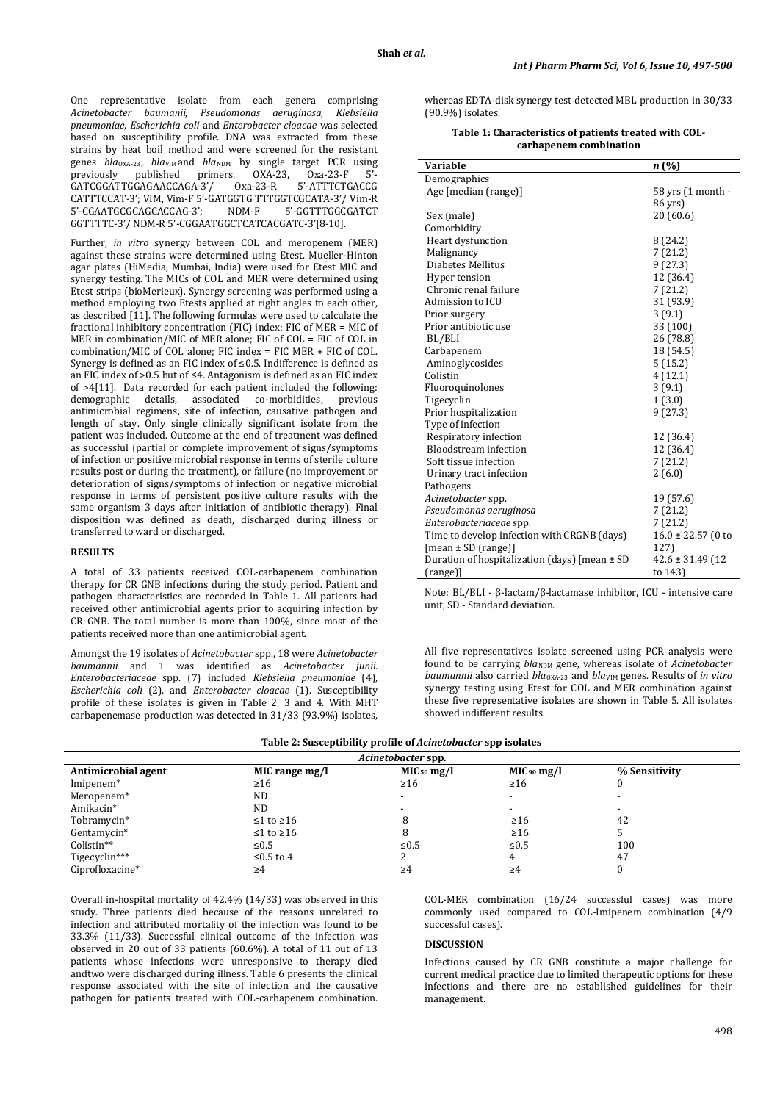One representative isolate from each genera comprising *Acinetobacter baumanii*, *Pseudomonas aeruginosa*, *Klebsiella pneumoniae*, *Escherichia coli* and *Enterobacter cloacae* was selected based on susceptibility profile. DNA was extracted from these strains by heat boil method and were screened for the resistant genes *bla*<sub>OXA-23</sub>, *bla*<sub>VIM</sub>and *bla*<sub>NDM</sub> by single target PCR using previously published primers, OXA-23, Oxa-23-F 5'previously published primers, OXA-23, Oxa-23-F 5'- GATCGGATTGGAGAACCAGA-3'/ Oxa-23-R 5'-ATTTCTGACCG CATTTCCAT-3'; VIM, Vim-F 5'-GATGGTG TTTGGTCGCATA-3'/ Vim-R 5'-CGAATGCGCAGCACCAG-3'; NDM-F 5'-GGTTTGGCGATCT GGTTTTC-3'/ NDM-R 5'-CGGAATGGCTCATCACGATC-3'[8-10].

Further, *in vitro* synergy between COL and meropenem (MER) against these strains were determined using Etest. Mueller-Hinton agar plates (HiMedia, Mumbai, India) were used for Etest MIC and synergy testing. The MICs of COL and MER were determined using Etest strips (bioMerieux). Synergy screening was performed using a method employing two Etests applied at right angles to each other, as described [11]. The following formulas were used to calculate the fractional inhibitory concentration (FIC) index: FIC of MER = MIC of MER in combination/MIC of MER alone: FIC of COL = FIC of COL in combination/MIC of COL alone; FIC index = FIC MER + FIC of COL. Synergy is defined as an FIC index of ≤0.5. Indifference is defined as an FIC index of >0.5 but of ≤4. Antagonism is defined as an FIC index of >4[11]. Data recorded for each patient included the following: demographic details, associated co-morbidities, previous antimicrobial regimens, site of infection, causative pathogen and length of stay. Only single clinically significant isolate from the patient was included. Outcome at the end of treatment was defined as successful (partial or complete improvement of signs/symptoms of infection or positive microbial response in terms of sterile culture results post or during the treatment), or failure (no improvement or deterioration of signs/symptoms of infection or negative microbial response in terms of persistent positive culture results with the same organism 3 days after initiation of antibiotic therapy). Final disposition was defined as death, discharged during illness or transferred to ward or discharged.

#### **RESULTS**

A total of 33 patients received COL-carbapenem combination therapy for CR GNB infections during the study period. Patient and pathogen characteristics are recorded in Table 1. All patients had received other antimicrobial agents prior to acquiring infection by CR GNB. The total number is more than 100%, since most of the patients received more than one antimicrobial agent.

Amongst the 19 isolates of *Acinetobacter* spp., 18 were *Acinetobacter baumannii* and 1 was identified as *Acinetobacter junii. Enterobacteriaceae* spp. (7) included *Klebsiella pneumoniae* (4), *Escherichia coli* (2), and *Enterobacter cloacae* (1). Susceptibility profile of these isolates is given in Table 2, 3 and 4. With MHT carbapenemase production was detected in 31/33 (93.9%) isolates,

whereas EDTA-disk synergy test detected MBL production in 30/33 (90.9%) isolates.

#### **Table 1: Characteristics of patients treated with COLcarbapenem combination**

| Variable                                          | n(%)                   |
|---------------------------------------------------|------------------------|
| Demographics                                      |                        |
| Age [median (range)]                              | 58 yrs (1 month -      |
|                                                   | 86 yrs)                |
| Sex (male)                                        | 20 (60.6)              |
| Comorbidity                                       |                        |
| Heart dysfunction                                 | 8(24.2)                |
| Malignancy                                        | 7(21.2)                |
| Diabetes Mellitus                                 | 9(27.3)                |
| Hyper tension                                     | 12 (36.4)              |
| Chronic renal failure                             | 7(21.2)                |
| Admission to ICU                                  | 31 (93.9)              |
| Prior surgery                                     | 3(9.1)                 |
| Prior antibiotic use                              | 33 (100)               |
| BL/BLI                                            | 26 (78.8)              |
| Carbapenem                                        | 18 (54.5)              |
| Aminoglycosides                                   | 5(15.2)                |
| Colistin                                          | 4(12.1)                |
| Fluoroquinolones                                  | 3(9.1)                 |
| Tigecyclin                                        | 1(3.0)                 |
| Prior hospitalization                             | 9(27.3)                |
| Type of infection                                 |                        |
| Respiratory infection                             | 12 (36.4)              |
| Bloodstream infection                             | 12 (36.4)              |
| Soft tissue infection                             | 7(21.2)                |
| Urinary tract infection                           | 2(6.0)                 |
| Pathogens                                         |                        |
| Acinetobacter spp.                                | 19 (57.6)              |
| Pseudomonas aeruginosa                            | 7(21.2)                |
| Enterobacteriaceae spp.                           | 7 (21.2)               |
| Time to develop infection with CRGNB (days)       | $16.0 \pm 22.57$ (0 to |
| $[mean \pm SD (range)]$                           | 127)                   |
| Duration of hospitalization (days) [mean $\pm$ SD | $42.6 \pm 31.49$ (12)  |
| (range)]                                          | to 143)                |

Note: BL/BLI - β-lactam/β-lactamase inhibitor, ICU - intensive care unit, SD - Standard deviation.

All five representatives isolate screened using PCR analysis were found to be carrying  $bla_{\text{NDM}}$  gene, whereas isolate of *Acinetobacter baumannii* also carried *bla*<sub>OXA-23</sub> and *bla*<sub>VIM</sub> genes. Results of *in vitro* synergy testing using Etest for COL and MER combination against these five representative isolates are shown in Table 5. All isolates showed indifferent results.

| Table 2: Susceptibility profile of <i>Acinetobacter</i> spp isolates |  |
|----------------------------------------------------------------------|--|
|                                                                      |  |

| Acinetobacter spp.    |                |                 |                 |               |  |
|-----------------------|----------------|-----------------|-----------------|---------------|--|
| Antimicrobial agent   | MIC range mg/l | $MIC_{50}$ mg/l | $MIC_{90}$ mg/l | % Sensitivity |  |
| Imipenem <sup>*</sup> | $\geq 16$      | $\geq 16$       | $\geq 16$       |               |  |
| Meropenem*            | ND.            |                 |                 |               |  |
| Amikacin*             | ND.            |                 |                 |               |  |
| Tobramycin*           | $≤1$ to $≥16$  |                 | $\geq 16$       | 42            |  |
| Gentamycin*           | $≤1$ to $≥16$  |                 | $\geq 16$       |               |  |
| Colistin**            | $\leq 0.5$     | ≤ $0.5$         | ≤ $0.5$         | 100           |  |
| Tigecyclin***         | ≤0.5 to 4      |                 |                 | 47            |  |
| Ciprofloxacine*       | $\geq 4$       | ≥4              | ≥4              |               |  |

Overall in-hospital mortality of 42.4% (14/33) was observed in this study. Three patients died because of the reasons unrelated to infection and attributed mortality of the infection was found to be 33.3% (11/33). Successful clinical outcome of the infection was observed in 20 out of 33 patients (60.6%). A total of 11 out of 13 patients whose infections were unresponsive to therapy died andtwo were discharged during illness. Table 6 presents the clinical response associated with the site of infection and the causative pathogen for patients treated with COL-carbapenem combination.

COL-MER combination (16/24 successful cases) was more commonly used compared to COL-Imipenem combination (4/9 successful cases).

### **DISCUSSION**

Infections caused by CR GNB constitute a major challenge for current medical practice due to limited therapeutic options for these infections and there are no established guidelines for their management.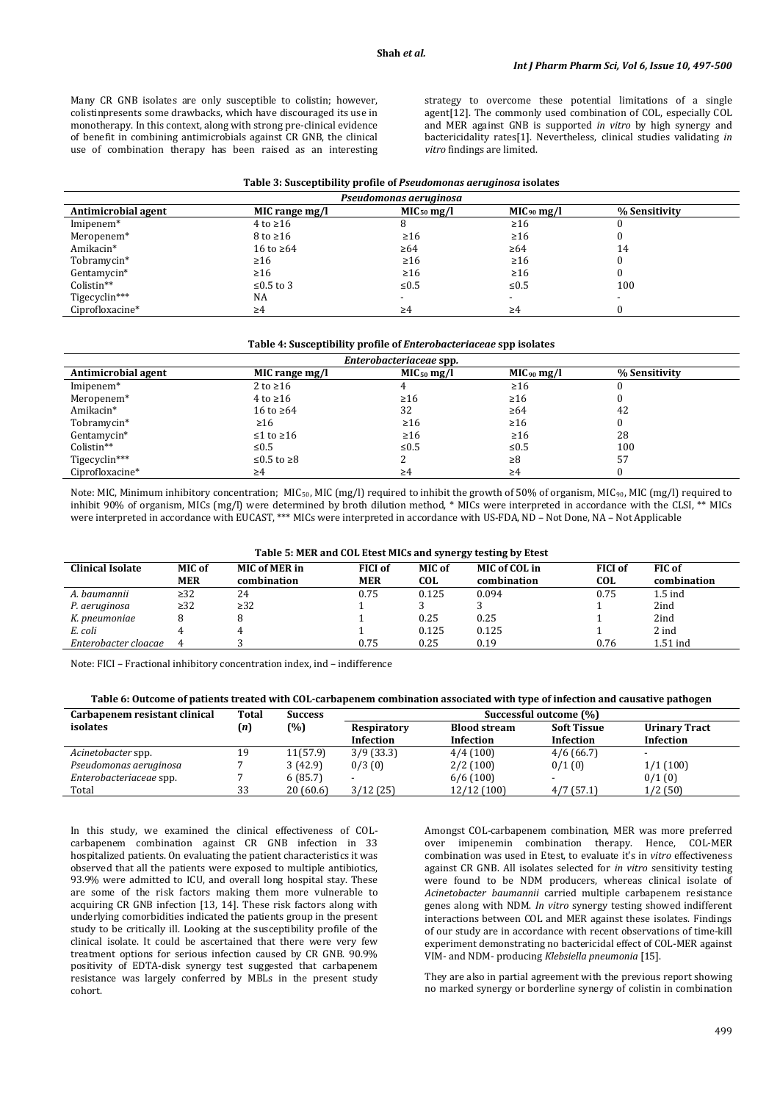Many CR GNB isolates are only susceptible to colistin; however, colistinpresents some drawbacks, which have discouraged its use in monotherapy. In this context, along with strong pre-clinical evidence of benefit in combining antimicrobials against CR GNB, the clinical use of combination therapy has been raised as an interesting

strategy to overcome these potential limitations of a single agent[12]. The commonly used combination of COL, especially COL and MER against GNB is supported *in vitro* by high synergy and bactericidality rates[1]. Nevertheless, clinical studies validating *in vitro* findings are limited.

#### **Table 3: Susceptibility profile of** *Pseudomonas aeruginosa* **isolates**

| Pseudomonas aeruginosa |                     |                        |                 |               |  |
|------------------------|---------------------|------------------------|-----------------|---------------|--|
| Antimicrobial agent    | MIC range mg/l      | MIC <sub>50</sub> mg/l | $MIC_{90}$ mg/l | % Sensitivity |  |
| Imipenem <sup>*</sup>  | $4$ to $\geq 16$    |                        | $\geq 16$       |               |  |
| Meropenem*             | $8 \text{ to } 216$ | $\geq 16$              | $\geq 16$       |               |  |
| Amikacin*              | 16 to $\geq 64$     | $\geq 64$              | $\geq 64$       | 14            |  |
| Tobramycin*            | $\geq 16$           | $\geq 16$              | $\geq 16$       |               |  |
| Gentamycin*            | $\geq 16$           | $\geq 16$              | $\geq 16$       |               |  |
| Colistin**             | ≤0.5 to 3           | $\leq 0.5$             | ≤ $0.5$         | 100           |  |
| Tigecyclin***          | NA                  |                        |                 |               |  |
| Ciprofloxacine*        | ≥4                  | ≥4                     | $\geq 4$        |               |  |

#### **Table 4: Susceptibility profile of** *Enterobacteriaceae* **spp isolates**

| Enterobacteriaceae spp. |                     |                 |                 |               |  |  |
|-------------------------|---------------------|-----------------|-----------------|---------------|--|--|
| Antimicrobial agent     | MIC range mg/l      | $MIC_{50}$ mg/l | $MIC_{90}$ mg/l | % Sensitivity |  |  |
| Imipenem <sup>*</sup>   | 2 to $\geq 16$      |                 | $\geq 16$       |               |  |  |
| Meropenem*              | $4 \text{ to } 216$ | $\geq 16$       | $\geq 16$       |               |  |  |
| Amikacin*               | 16 to $\geq 64$     | 32              | $\geq 64$       | 42            |  |  |
| Tobramycin*             | $\geq 16$           | $\geq 16$       | $\geq 16$       |               |  |  |
| Gentamycin*             | $≤1$ to $≥16$       | $\geq 16$       | $\geq 16$       | 28            |  |  |
| Colistin**              | $\leq 0.5$          | $\leq 0.5$      | $\leq 0.5$      | 100           |  |  |
| Tigecyclin***           | $≤0.5$ to ≥8        |                 | ≥8              | 57            |  |  |
| Ciprofloxacine*         | ≥4                  | ≥4              | $\geq 4$        |               |  |  |

Note: MIC, Minimum inhibitory concentration; MIC<sub>50</sub>, MIC (mg/l) required to inhibit the growth of 50% of organism, MIC<sub>90</sub>, MIC (mg/l) required to inhibit 90% of organism, MICs (mg/l) were determined by broth dilution method, \* MICs were interpreted in accordance with the CLSI, \*\* MICs were interpreted in accordance with EUCAST, \*\*\* MICs were interpreted in accordance with US-FDA, ND – Not Done, NA – Not Applicable

#### **Table 5: MER and COL Etest MICs and synergy testing by Etest**

| <b>Clinical Isolate</b> | MIC of<br><b>MER</b> | <b>MIC of MER in</b><br>combination | <b>FICI of</b><br><b>MER</b> | MIC of<br>COL | MIC of COL in<br>combination | <b>FICI</b> of<br><b>COL</b> | FIC of<br>combination |
|-------------------------|----------------------|-------------------------------------|------------------------------|---------------|------------------------------|------------------------------|-----------------------|
| A. baumannii            | $\geq$ 32            | 24                                  | 0.75                         | 0.125         | 0.094                        | 0.75                         | $1.5$ ind             |
| P. aeruginosa           | $\geq$ 32            | $\geq$ 32                           |                              |               |                              |                              | 2ind                  |
| K. pneumoniae           |                      |                                     |                              | 0.25          | 0.25                         |                              | 2ind                  |
| E. coli                 |                      |                                     |                              | 0.125         | 0.125                        |                              | 2 ind                 |
| Enterobacter cloacae    |                      |                                     | 0.75                         | 0.25          | 0.19                         | 0.76                         | 1.51 ind              |

Note: FICI – Fractional inhibitory concentration index, ind – indifference

#### **Table 6: Outcome of patients treated with COL-carbapenem combination associated with type of infection and causative pathogen**

| Carbapenem resistant clinical | Total | <b>Success</b> | Successful outcome (%) |                     |                    |                      |  |
|-------------------------------|-------|----------------|------------------------|---------------------|--------------------|----------------------|--|
| isolates                      | (n)   | (%)            | Respiratory            | <b>Blood stream</b> | <b>Soft Tissue</b> | <b>Urinary Tract</b> |  |
|                               |       |                | Infection              | Infection           | Infection          | Infection            |  |
| Acinetobacter spp.            | 19    | 11(57.9)       | 3/9(33.3)              | 4/4(100)            | 4/6(66.7)          |                      |  |
| Pseudomonas aeruginosa        |       | 3(42.9)        | 0/3(0)                 | 2/2(100)            | 0/1(0)             | 1/1(100)             |  |
| Enterobacteriaceae spp.       |       | 6(85.7)        |                        | 6/6(100)            |                    | 0/1(0)               |  |
| Total                         | 33    | 20(60.6)       | 3/12(25)               | 12/12(100)          | 4/7(57.1)          | 1/2(50)              |  |

In this study, we examined the clinical effectiveness of COLcarbapenem combination against CR GNB infection in 33 hospitalized patients. On evaluating the patient characteristics it was observed that all the patients were exposed to multiple antibiotics, 93.9% were admitted to ICU, and overall long hospital stay. These are some of the risk factors making them more vulnerable to acquiring CR GNB infection [13, 14]. These risk factors along with underlying comorbidities indicated the patients group in the present study to be critically ill. Looking at the susceptibility profile of the clinical isolate. It could be ascertained that there were very few treatment options for serious infection caused by CR GNB. 90.9% positivity of EDTA-disk synergy test suggested that carbapenem resistance was largely conferred by MBLs in the present study cohort.

Amongst COL-carbapenem combination, MER was more preferred over imipenemin combination therapy. Hence, COL-MER combination was used in Etest, to evaluate it's in *vitro* effectiveness against CR GNB. All isolates selected for *in vitro* sensitivity testing were found to be NDM producers, whereas clinical isolate of *Acinetobacter baumannii* carried multiple carbapenem resistance genes along with NDM. *In vitro* synergy testing showed indifferent interactions between COL and MER against these isolates. Findings of our study are in accordance with recent observations of time-kill experiment demonstrating no bactericidal effect of COL-MER against VIM- and NDM- producing *Klebsiella pneumonia* [15].

They are also in partial agreement with the previous report showing no marked synergy or borderline synergy of colistin in combination